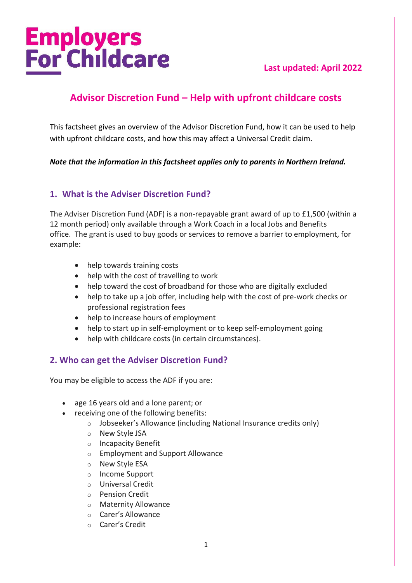# **Employers<br>For Childcare**

#### **Last updated: April 2022**

# **Advisor Discretion Fund – Help with upfront childcare costs**

This factsheet gives an overview of the Advisor Discretion Fund, how it can be used to help with upfront childcare costs, and how this may affect a Universal Credit claim.

*Note that the information in this factsheet applies only to parents in Northern Ireland.*

#### **1. What is the Adviser Discretion Fund?**

The Adviser Discretion Fund (ADF) is a non-repayable grant award of up to £1,500 (within a 12 month period) only available through a Work Coach in a local Jobs and Benefits office. The grant is used to buy goods or services to remove a barrier to employment, for example:

- help towards training costs
- help with the cost of travelling to work
- help toward the cost of broadband for those who are digitally excluded
- help to take up a job offer, including help with the cost of pre-work checks or professional registration fees
- help to increase hours of employment
- help to start up in self-employment or to keep self-employment going
- help with childcare costs (in certain circumstances).

#### **2. Who can get the Adviser Discretion Fund?**

You may be eligible to access the ADF if you are:

- age 16 years old and a lone parent; or
- receiving one of the following benefits:
	- o Jobseeker's Allowance (including National Insurance credits only)
	- o New Style JSA
	- o Incapacity Benefit
	- o Employment and Support Allowance
	- o New Style ESA
	- o Income Support
	- o Universal Credit
	- o Pension Credit
	- o Maternity Allowance
	- o Carer's Allowance
	- o Carer's Credit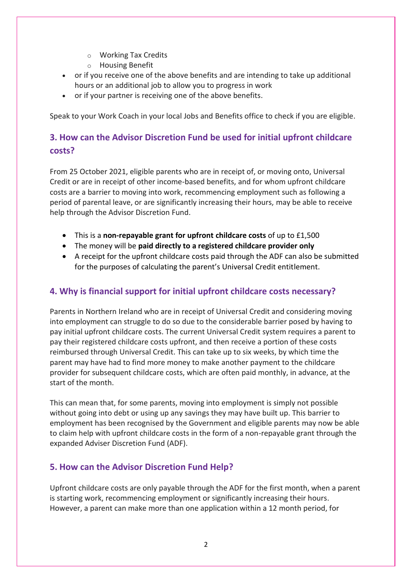- o Working Tax Credits
- o Housing Benefit
- or if you receive one of the above benefits and are intending to take up additional hours or an additional job to allow you to progress in work
- or if your partner is receiving one of the above benefits.

Speak to your Work Coach in your local Jobs and Benefits office to check if you are eligible.

# **3. How can the Advisor Discretion Fund be used for initial upfront childcare costs?**

From 25 October 2021, eligible parents who are in receipt of, or moving onto, Universal Credit or are in receipt of other income-based benefits, and for whom upfront childcare costs are a barrier to moving into work, recommencing employment such as following a period of parental leave, or are significantly increasing their hours, may be able to receive help through the Advisor Discretion Fund.

- This is a **non-repayable grant for upfront childcare costs** of up to £1,500
- The money will be **paid directly to a registered childcare provider only**
- A receipt for the upfront childcare costs paid through the ADF can also be submitted for the purposes of calculating the parent's Universal Credit entitlement.

## **4. Why is financial support for initial upfront childcare costs necessary?**

Parents in Northern Ireland who are in receipt of Universal Credit and considering moving into employment can struggle to do so due to the considerable barrier posed by having to pay initial upfront childcare costs. The current Universal Credit system requires a parent to pay their registered childcare costs upfront, and then receive a portion of these costs reimbursed through Universal Credit. This can take up to six weeks, by which time the parent may have had to find more money to make another payment to the childcare provider for subsequent childcare costs, which are often paid monthly, in advance, at the start of the month.

This can mean that, for some parents, moving into employment is simply not possible without going into debt or using up any savings they may have built up. This barrier to employment has been recognised by the Government and eligible parents may now be able to claim help with upfront childcare costs in the form of a non-repayable grant through the expanded Adviser Discretion Fund (ADF).

## **5. How can the Advisor Discretion Fund Help?**

Upfront childcare costs are only payable through the ADF for the first month, when a parent is starting work, recommencing employment or significantly increasing their hours. However, a parent can make more than one application within a 12 month period, for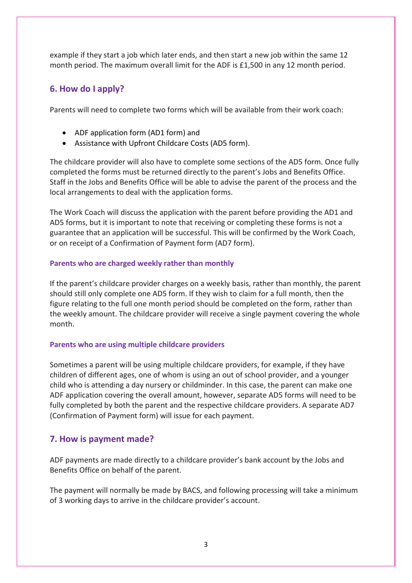example if they start a job which later ends, and then start a new job within the same 12 month period. The maximum overall limit for the ADF is £1,500 in any 12 month period.

#### **6. How do I apply?**

Parents will need to complete two forms which will be available from their work coach:

- ADF application form (AD1 form) and
- Assistance with Upfront Childcare Costs (AD5 form).

The childcare provider will also have to complete some sections of the AD5 form. Once fully completed the forms must be returned directly to the parent's Jobs and Benefits Office. Staff in the Jobs and Benefits Office will be able to advise the parent of the process and the local arrangements to deal with the application forms.

The Work Coach will discuss the application with the parent before providing the AD1 and AD5 forms, but it is important to note that receiving or completing these forms is not a guarantee that an application will be successful. This will be confirmed by the Work Coach, or on receipt of a Confirmation of Payment form (AD7 form).

#### **Parents who are charged weekly rather than monthly**

If the parent's childcare provider charges on a weekly basis, rather than monthly, the parent should still only complete one AD5 form. If they wish to claim for a full month, then the figure relating to the full one month period should be completed on the form, rather than the weekly amount. The childcare provider will receive a single payment covering the whole month.

#### **Parents who are using multiple childcare providers**

Sometimes a parent will be using multiple childcare providers, for example, if they have children of different ages, one of whom is using an out of school provider, and a younger child who is attending a day nursery or childminder. In this case, the parent can make one ADF application covering the overall amount, however, separate AD5 forms will need to be fully completed by both the parent and the respective childcare providers. A separate AD7 (Confirmation of Payment form) will issue for each payment.

#### **7. How is payment made?**

ADF payments are made directly to a childcare provider's bank account by the Jobs and Benefits Office on behalf of the parent.

The payment will normally be made by BACS, and following processing will take a minimum of 3 working days to arrive in the childcare provider's account.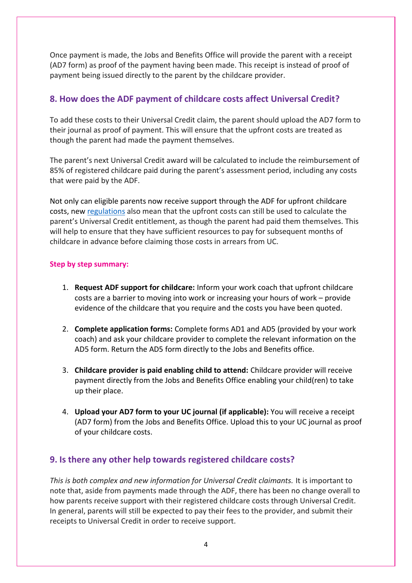Once payment is made, the Jobs and Benefits Office will provide the parent with a receipt (AD7 form) as proof of the payment having been made. This receipt is instead of proof of payment being issued directly to the parent by the childcare provider.

## **8. How does the ADF payment of childcare costs affect Universal Credit?**

To add these costs to their Universal Credit claim, the parent should upload the AD7 form to their journal as proof of payment. This will ensure that the upfront costs are treated as though the parent had made the payment themselves.

The parent's next Universal Credit award will be calculated to include the reimbursement of 85% of registered childcare paid during the parent's assessment period, including any costs that were paid by the ADF.

Not only can eligible parents now receive support through the ADF for upfront childcare costs, new [regulations](https://www.legislation.gov.uk/nisr/2021/249/contents/made) also mean that the upfront costs can still be used to calculate the parent's Universal Credit entitlement, as though the parent had paid them themselves. This will help to ensure that they have sufficient resources to pay for subsequent months of childcare in advance before claiming those costs in arrears from UC.

#### **Step by step summary:**

- 1. **Request ADF support for childcare:** Inform your work coach that upfront childcare costs are a barrier to moving into work or increasing your hours of work – provide evidence of the childcare that you require and the costs you have been quoted.
- 2. **Complete application forms:** Complete forms AD1 and AD5 (provided by your work coach) and ask your childcare provider to complete the relevant information on the AD5 form. Return the AD5 form directly to the Jobs and Benefits office.
- 3. **Childcare provider is paid enabling child to attend:** Childcare provider will receive payment directly from the Jobs and Benefits Office enabling your child(ren) to take up their place.
- 4. **Upload your AD7 form to your UC journal (if applicable):** You will receive a receipt (AD7 form) from the Jobs and Benefits Office. Upload this to your UC journal as proof of your childcare costs.

#### **9. Is there any other help towards registered childcare costs?**

*This is both complex and new information for Universal Credit claimants.* It is important to note that, aside from payments made through the ADF, there has been no change overall to how parents receive support with their registered childcare costs through Universal Credit. In general, parents will still be expected to pay their fees to the provider, and submit their receipts to Universal Credit in order to receive support.